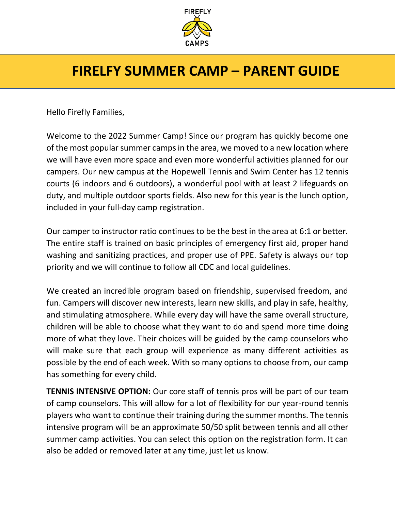

### **FIRELFY SUMMER CAMP – PARENT GUIDE**

Hello Firefly Families,

Welcome to the 2022 Summer Camp! Since our program has quickly become one of the most popular summer camps in the area, we moved to a new location where we will have even more space and even more wonderful activities planned for our campers. Our new campus at the Hopewell Tennis and Swim Center has 12 tennis courts (6 indoors and 6 outdoors), a wonderful pool with at least 2 lifeguards on duty, and multiple outdoor sports fields. Also new for this year is the lunch option, included in your full-day camp registration.

Our camper to instructor ratio continues to be the best in the area at 6:1 or better. The entire staff is trained on basic principles of emergency first aid, proper hand washing and sanitizing practices, and proper use of PPE. Safety is always our top priority and we will continue to follow all CDC and local guidelines.

We created an incredible program based on friendship, supervised freedom, and fun. Campers will discover new interests, learn new skills, and play in safe, healthy, and stimulating atmosphere. While every day will have the same overall structure, children will be able to choose what they want to do and spend more time doing more of what they love. Their choices will be guided by the camp counselors who will make sure that each group will experience as many different activities as possible by the end of each week. With so many options to choose from, our camp has something for every child.

**TENNIS INTENSIVE OPTION:** Our core staff of tennis pros will be part of our team of camp counselors. This will allow for a lot of flexibility for our year-round tennis players who want to continue their training during the summer months. The tennis intensive program will be an approximate 50/50 split between tennis and all other summer camp activities. You can select this option on the registration form. It can also be added or removed later at any time, just let us know.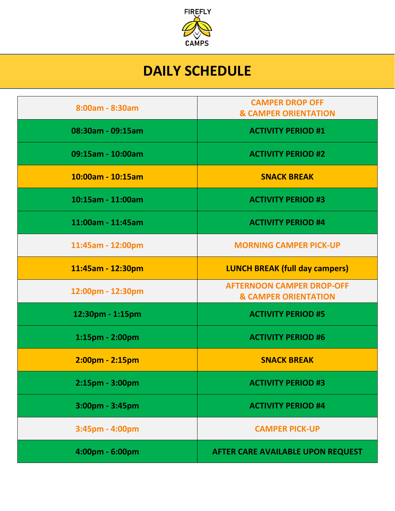

## **DAILY SCHEDULE**

| 8:00am - 8:30am   | <b>CAMPER DROP OFF</b><br><b>&amp; CAMPER ORIENTATION</b>           |
|-------------------|---------------------------------------------------------------------|
| 08:30am - 09:15am | <b>ACTIVITY PERIOD #1</b>                                           |
| 09:15am - 10:00am | <b>ACTIVITY PERIOD #2</b>                                           |
| 10:00am - 10:15am | <b>SNACK BREAK</b>                                                  |
| 10:15am - 11:00am | <b>ACTIVITY PERIOD #3</b>                                           |
| 11:00am - 11:45am | <b>ACTIVITY PERIOD #4</b>                                           |
| 11:45am - 12:00pm | <b>MORNING CAMPER PICK-UP</b>                                       |
| 11:45am - 12:30pm | <b>LUNCH BREAK (full day campers)</b>                               |
| 12:00pm - 12:30pm | <b>AFTERNOON CAMPER DROP-OFF</b><br><b>&amp; CAMPER ORIENTATION</b> |
| 12:30pm - 1:15pm  | <b>ACTIVITY PERIOD #5</b>                                           |
| 1:15pm - 2:00pm   | <b>ACTIVITY PERIOD #6</b>                                           |
| 2:00pm - 2:15pm   | <b>SNACK BREAK</b>                                                  |
| 2:15pm - 3:00pm   | <b>ACTIVITY PERIOD #3</b>                                           |
| 3:00pm - 3:45pm   | <b>ACTIVITY PERIOD #4</b>                                           |
| 3:45pm - 4:00pm   | <b>CAMPER PICK-UP</b>                                               |
| 4:00pm - 6:00pm   | AFTER CARE AVAILABLE UPON REQUEST                                   |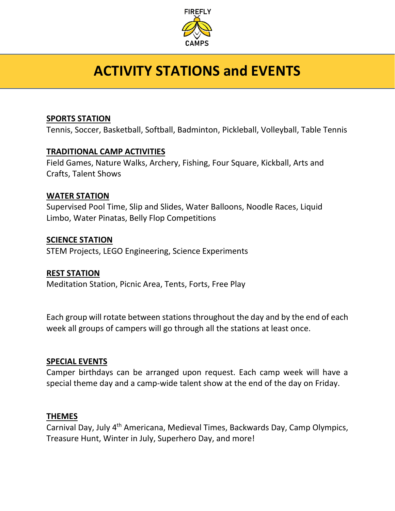

# **ACTIVITY STATIONS and EVENTS**

#### **SPORTS STATION**

Tennis, Soccer, Basketball, Softball, Badminton, Pickleball, Volleyball, Table Tennis

#### **TRADITIONAL CAMP ACTIVITIES**

Field Games, Nature Walks, Archery, Fishing, Four Square, Kickball, Arts and Crafts, Talent Shows

#### **WATER STATION**

Supervised Pool Time, Slip and Slides, Water Balloons, Noodle Races, Liquid Limbo, Water Pinatas, Belly Flop Competitions

#### **SCIENCE STATION**

STEM Projects, LEGO Engineering, Science Experiments

#### **REST STATION**

Meditation Station, Picnic Area, Tents, Forts, Free Play

Each group will rotate between stations throughout the day and by the end of each week all groups of campers will go through all the stations at least once.

#### **SPECIAL EVENTS**

Camper birthdays can be arranged upon request. Each camp week will have a special theme day and a camp-wide talent show at the end of the day on Friday.

#### **THEMES**

Carnival Day, July 4th Americana, Medieval Times, Backwards Day, Camp Olympics, Treasure Hunt, Winter in July, Superhero Day, and more!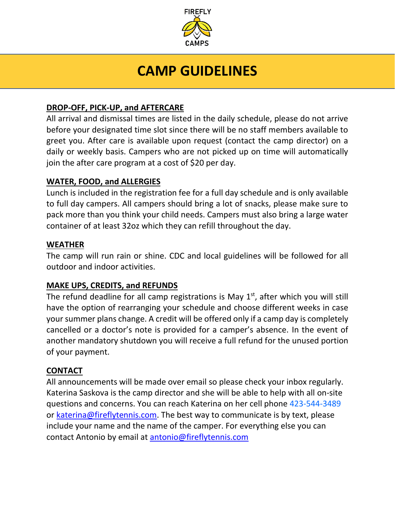

## **CAMP GUIDELINES**

### **DROP-OFF, PICK-UP, and AFTERCARE**

All arrival and dismissal times are listed in the daily schedule, please do not arrive before your designated time slot since there will be no staff members available to greet you. After care is available upon request (contact the camp director) on a daily or weekly basis. Campers who are not picked up on time will automatically join the after care program at a cost of \$20 per day.

### **WATER, FOOD, and ALLERGIES**

Lunch is included in the registration fee for a full day schedule and is only available to full day campers. All campers should bring a lot of snacks, please make sure to pack more than you think your child needs. Campers must also bring a large water container of at least 32oz which they can refill throughout the day.

#### **WEATHER**

The camp will run rain or shine. CDC and local guidelines will be followed for all outdoor and indoor activities.

#### **MAKE UPS, CREDITS, and REFUNDS**

The refund deadline for all camp registrations is May  $1<sup>st</sup>$ , after which you will still have the option of rearranging your schedule and choose different weeks in case your summer plans change. A credit will be offered only if a camp day is completely cancelled or a doctor's note is provided for a camper's absence. In the event of another mandatory shutdown you will receive a full refund for the unused portion of your payment.

#### **CONTACT**

All announcements will be made over email so please check your inbox regularly. Katerina Saskova is the camp director and she will be able to help with all on-site questions and concerns. You can reach Katerina on her cell phone 423-544-3489 or [katerina@fireflytennis.com.](mailto:katerina@fireflytennis.com) The best way to communicate is by text, please include your name and the name of the camper. For everything else you can contact Antonio by email at [antonio@fireflytennis.com](mailto:antonio@fireflytennis.com)